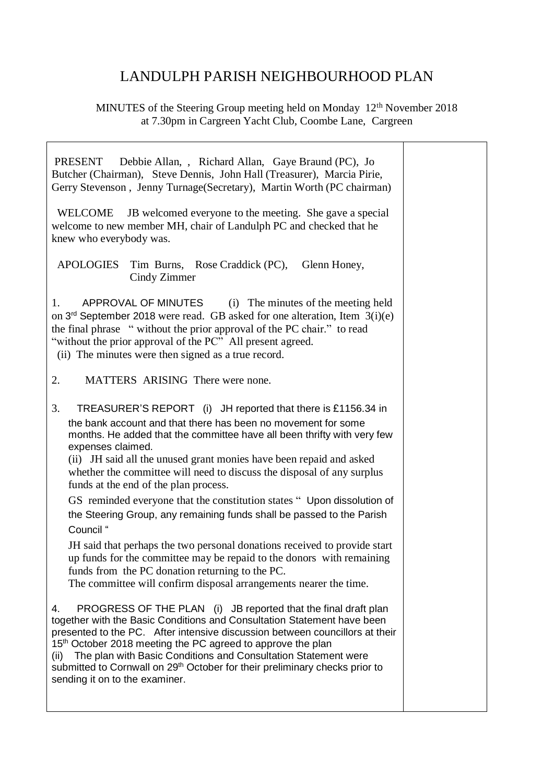## LANDULPH PARISH NEIGHBOURHOOD PLAN

## MINUTES of the Steering Group meeting held on Monday 12<sup>th</sup> November 2018 at 7.30pm in Cargreen Yacht Club, Coombe Lane, Cargreen

Т

| Debbie Allan, , Richard Allan, Gaye Braund (PC), Jo<br>PRESENT<br>Butcher (Chairman), Steve Dennis, John Hall (Treasurer), Marcia Pirie,<br>Gerry Stevenson, Jenny Turnage (Secretary), Martin Worth (PC chairman)                                                                                                                                                                                                                                                                                                                                                                                                                                                                                                                                                                                                                                                           |  |
|------------------------------------------------------------------------------------------------------------------------------------------------------------------------------------------------------------------------------------------------------------------------------------------------------------------------------------------------------------------------------------------------------------------------------------------------------------------------------------------------------------------------------------------------------------------------------------------------------------------------------------------------------------------------------------------------------------------------------------------------------------------------------------------------------------------------------------------------------------------------------|--|
| JB welcomed everyone to the meeting. She gave a special<br><b>WELCOME</b><br>welcome to new member MH, chair of Landulph PC and checked that he<br>knew who everybody was.                                                                                                                                                                                                                                                                                                                                                                                                                                                                                                                                                                                                                                                                                                   |  |
| <b>APOLOGIES</b><br>Glenn Honey,<br>Tim Burns, Rose Craddick (PC),<br>Cindy Zimmer                                                                                                                                                                                                                                                                                                                                                                                                                                                                                                                                                                                                                                                                                                                                                                                           |  |
| APPROVAL OF MINUTES<br>(i) The minutes of the meeting held<br>1.<br>on $3rd$ September 2018 were read. GB asked for one alteration, Item $3(i)(e)$<br>the final phrase "without the prior approval of the PC chair." to read<br>"without the prior approval of the PC" All present agreed.<br>(ii) The minutes were then signed as a true record.                                                                                                                                                                                                                                                                                                                                                                                                                                                                                                                            |  |
| MATTERS ARISING There were none.<br>2.                                                                                                                                                                                                                                                                                                                                                                                                                                                                                                                                                                                                                                                                                                                                                                                                                                       |  |
| 3.<br>TREASURER'S REPORT (i) JH reported that there is £1156.34 in<br>the bank account and that there has been no movement for some<br>months. He added that the committee have all been thrifty with very few<br>expenses claimed.<br>(ii) JH said all the unused grant monies have been repaid and asked<br>whether the committee will need to discuss the disposal of any surplus<br>funds at the end of the plan process.<br>GS reminded everyone that the constitution states " Upon dissolution of<br>the Steering Group, any remaining funds shall be passed to the Parish<br>Council "<br>JH said that perhaps the two personal donations received to provide start<br>up funds for the committee may be repaid to the donors with remaining<br>funds from the PC donation returning to the PC.<br>The committee will confirm disposal arrangements nearer the time. |  |
| PROGRESS OF THE PLAN (i) JB reported that the final draft plan<br>4.<br>together with the Basic Conditions and Consultation Statement have been<br>presented to the PC. After intensive discussion between councillors at their<br>15 <sup>th</sup> October 2018 meeting the PC agreed to approve the plan<br>The plan with Basic Conditions and Consultation Statement were<br>(ii)<br>submitted to Cornwall on 29 <sup>th</sup> October for their preliminary checks prior to<br>sending it on to the examiner.                                                                                                                                                                                                                                                                                                                                                            |  |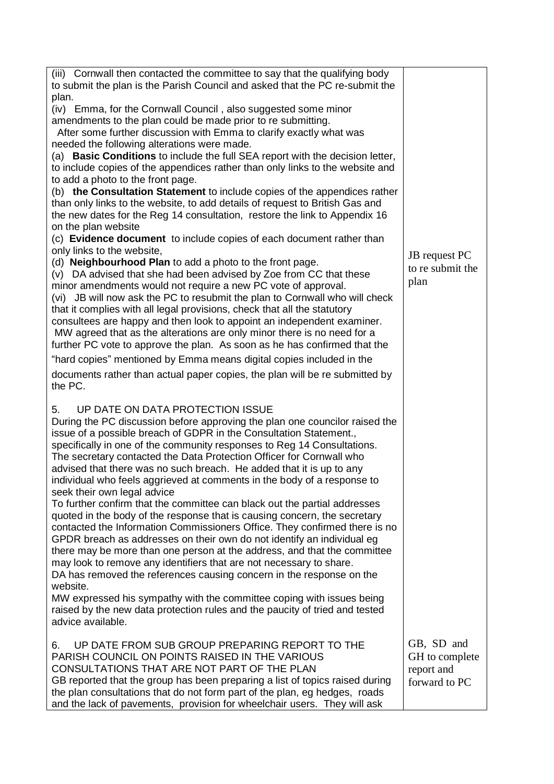| (iii) Cornwall then contacted the committee to say that the qualifying body<br>to submit the plan is the Parish Council and asked that the PC re-submit the |                  |
|-------------------------------------------------------------------------------------------------------------------------------------------------------------|------------------|
| plan.                                                                                                                                                       |                  |
| (iv) Emma, for the Cornwall Council, also suggested some minor                                                                                              |                  |
| amendments to the plan could be made prior to re submitting.                                                                                                |                  |
| After some further discussion with Emma to clarify exactly what was                                                                                         |                  |
| needed the following alterations were made.                                                                                                                 |                  |
| (a) Basic Conditions to include the full SEA report with the decision letter,                                                                               |                  |
| to include copies of the appendices rather than only links to the website and                                                                               |                  |
| to add a photo to the front page.                                                                                                                           |                  |
| (b) the Consultation Statement to include copies of the appendices rather                                                                                   |                  |
| than only links to the website, to add details of request to British Gas and                                                                                |                  |
| the new dates for the Reg 14 consultation, restore the link to Appendix 16                                                                                  |                  |
| on the plan website                                                                                                                                         |                  |
| (c) Evidence document to include copies of each document rather than<br>only links to the website,                                                          |                  |
| (d) Neighbourhood Plan to add a photo to the front page.                                                                                                    | JB request PC    |
| (v) DA advised that she had been advised by Zoe from CC that these                                                                                          | to re submit the |
| minor amendments would not require a new PC vote of approval.                                                                                               | plan             |
| (vi) JB will now ask the PC to resubmit the plan to Cornwall who will check                                                                                 |                  |
| that it complies with all legal provisions, check that all the statutory                                                                                    |                  |
| consultees are happy and then look to appoint an independent examiner.                                                                                      |                  |
| MW agreed that as the alterations are only minor there is no need for a                                                                                     |                  |
| further PC vote to approve the plan. As soon as he has confirmed that the                                                                                   |                  |
| "hard copies" mentioned by Emma means digital copies included in the                                                                                        |                  |
| documents rather than actual paper copies, the plan will be re submitted by                                                                                 |                  |
| the PC.                                                                                                                                                     |                  |
| UP DATE ON DATA PROTECTION ISSUE<br>5.                                                                                                                      |                  |
| During the PC discussion before approving the plan one councilor raised the                                                                                 |                  |
| issue of a possible breach of GDPR in the Consultation Statement.,                                                                                          |                  |
| specifically in one of the community responses to Reg 14 Consultations.                                                                                     |                  |
| The secretary contacted the Data Protection Officer for Cornwall who                                                                                        |                  |
| advised that there was no such breach. He added that it is up to any                                                                                        |                  |
| individual who feels aggrieved at comments in the body of a response to                                                                                     |                  |
| seek their own legal advice                                                                                                                                 |                  |
| To further confirm that the committee can black out the partial addresses                                                                                   |                  |
| quoted in the body of the response that is causing concern, the secretary                                                                                   |                  |
| contacted the Information Commissioners Office. They confirmed there is no                                                                                  |                  |
| GPDR breach as addresses on their own do not identify an individual eg                                                                                      |                  |
| there may be more than one person at the address, and that the committee<br>may look to remove any identifiers that are not necessary to share.             |                  |
| DA has removed the references causing concern in the response on the                                                                                        |                  |
| website.                                                                                                                                                    |                  |
| MW expressed his sympathy with the committee coping with issues being                                                                                       |                  |
| raised by the new data protection rules and the paucity of tried and tested                                                                                 |                  |
| advice available.                                                                                                                                           |                  |
| UP DATE FROM SUB GROUP PREPARING REPORT TO THE<br>6.                                                                                                        | GB, SD and       |
| PARISH COUNCIL ON POINTS RAISED IN THE VARIOUS                                                                                                              | GH to complete   |
| CONSULTATIONS THAT ARE NOT PART OF THE PLAN                                                                                                                 | report and       |
| GB reported that the group has been preparing a list of topics raised during                                                                                | forward to PC    |
| the plan consultations that do not form part of the plan, eg hedges, roads                                                                                  |                  |
|                                                                                                                                                             |                  |